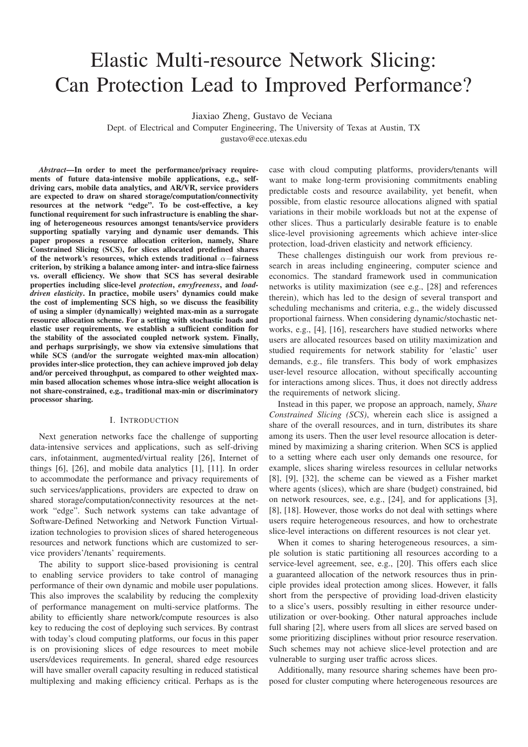# Elastic Multi-resource Network Slicing: Can Protection Lead to Improved Performance?

Jiaxiao Zheng, Gustavo de Veciana

Dept. of Electrical and Computer Engineering, The University of Texas at Austin, TX gustavo@ece.utexas.edu

*Abstract*—In order to meet the performance/privacy requirements of future data-intensive mobile applications, e.g., selfdriving cars, mobile data analytics, and AR/VR, service providers are expected to draw on shared storage/computation/connectivity resources at the network "edge". To be cost-effective, a key functional requirement for such infrastructure is enabling the sharing of heterogeneous resources amongst tenants/service providers supporting spatially varying and dynamic user demands. This paper proposes a resource allocation criterion, namely, Share Constrained Slicing (SCS), for slices allocated predefined shares of the network's resources, which extends traditional  $\alpha$ −fairness criterion, by striking a balance among inter- and intra-slice fairness vs. overall efficiency. We show that SCS has several desirable properties including slice-level *protection*, *envyfreeness*, and *loaddriven elasticity*. In practice, mobile users' dynamics could make the cost of implementing SCS high, so we discuss the feasibility of using a simpler (dynamically) weighted max-min as a surrogate resource allocation scheme. For a setting with stochastic loads and elastic user requirements, we establish a sufficient condition for the stability of the associated coupled network system. Finally, and perhaps surprisingly, we show via extensive simulations that while SCS (and/or the surrogate weighted max-min allocation) provides inter-slice protection, they can achieve improved job delay and/or perceived throughput, as compared to other weighted maxmin based allocation schemes whose intra-slice weight allocation is not share-constrained, e.g., traditional max-min or discriminatory processor sharing.

#### I. INTRODUCTION

Next generation networks face the challenge of supporting data-intensive services and applications, such as self-driving cars, infotainment, augmented/virtual reality [26], Internet of things [6], [26], and mobile data analytics [1], [11]. In order to accommodate the performance and privacy requirements of such services/applications, providers are expected to draw on shared storage/computation/connectivity resources at the network "edge". Such network systems can take advantage of Software-Defined Networking and Network Function Virtualization technologies to provision slices of shared heterogeneous resources and network functions which are customized to service providers'/tenants' requirements.

The ability to support slice-based provisioning is central to enabling service providers to take control of managing performance of their own dynamic and mobile user populations. This also improves the scalability by reducing the complexity of performance management on multi-service platforms. The ability to efficiently share network/compute resources is also key to reducing the cost of deploying such services. By contrast with today's cloud computing platforms, our focus in this paper is on provisioning slices of edge resources to meet mobile users/devices requirements. In general, shared edge resources will have smaller overall capacity resulting in reduced statistical multiplexing and making efficiency critical. Perhaps as is the case with cloud computing platforms, providers/tenants will want to make long-term provisioning commitments enabling predictable costs and resource availability, yet benefit, when possible, from elastic resource allocations aligned with spatial variations in their mobile workloads but not at the expense of other slices. Thus a particularly desirable feature is to enable slice-level provisioning agreements which achieve inter-slice protection, load-driven elasticity and network efficiency.

These challenges distinguish our work from previous research in areas including engineering, computer science and economics. The standard framework used in communication networks is utility maximization (see e.g., [28] and references therein), which has led to the design of several transport and scheduling mechanisms and criteria, e.g., the widely discussed proportional fairness. When considering dynamic/stochastic networks, e.g., [4], [16], researchers have studied networks where users are allocated resources based on utility maximization and studied requirements for network stability for 'elastic' user demands, e.g., file transfers. This body of work emphasizes user-level resource allocation, without specifically accounting for interactions among slices. Thus, it does not directly address the requirements of network slicing.

Instead in this paper, we propose an approach, namely, *Share Constrained Slicing (SCS)*, wherein each slice is assigned a share of the overall resources, and in turn, distributes its share among its users. Then the user level resource allocation is determined by maximizing a sharing criterion. When SCS is applied to a setting where each user only demands one resource, for example, slices sharing wireless resources in cellular networks [8], [9], [32], the scheme can be viewed as a Fisher market where agents (slices), which are share (budget) constrained, bid on network resources, see, e.g., [24], and for applications [3], [8], [18]. However, those works do not deal with settings where users require heterogeneous resources, and how to orchestrate slice-level interactions on different resources is not clear yet.

When it comes to sharing heterogeneous resources, a simple solution is static partitioning all resources according to a service-level agreement, see, e.g., [20]. This offers each slice a guaranteed allocation of the network resources thus in principle provides ideal protection among slices. However, it falls short from the perspective of providing load-driven elasticity to a slice's users, possibly resulting in either resource underutilization or over-booking. Other natural approaches include full sharing [2], where users from all slices are served based on some prioritizing disciplines without prior resource reservation. Such schemes may not achieve slice-level protection and are vulnerable to surging user traffic across slices.

Additionally, many resource sharing schemes have been proposed for cluster computing where heterogeneous resources are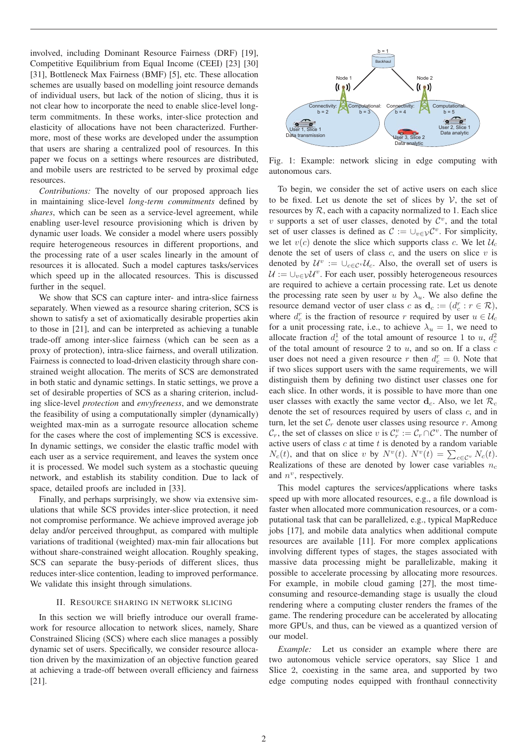involved, including Dominant Resource Fairness (DRF) [19], Competitive Equilibrium from Equal Income (CEEI) [23] [30] [31], Bottleneck Max Fairness (BMF) [5], etc. These allocation schemes are usually based on modelling joint resource demands of individual users, but lack of the notion of slicing, thus it is not clear how to incorporate the need to enable slice-level longterm commitments. In these works, inter-slice protection and elasticity of allocations have not been characterized. Furthermore, most of these works are developed under the assumption that users are sharing a centralized pool of resources. In this paper we focus on a settings where resources are distributed, and mobile users are restricted to be served by proximal edge resources.

*Contributions:* The novelty of our proposed approach lies in maintaining slice-level *long-term commitments* defined by *shares*, which can be seen as a service-level agreement, while enabling user-level resource provisioning which is driven by dynamic user loads. We consider a model where users possibly require heterogeneous resources in different proportions, and the processing rate of a user scales linearly in the amount of resources it is allocated. Such a model captures tasks/services which speed up in the allocated resources. This is discussed further in the sequel.

We show that SCS can capture inter- and intra-slice fairness separately. When viewed as a resource sharing criterion, SCS is shown to satisfy a set of axiomatically desirable properties akin to those in [21], and can be interpreted as achieving a tunable trade-off among inter-slice fairness (which can be seen as a proxy of protection), intra-slice fairness, and overall utilization. Fairness is connected to load-driven elasticity through share constrained weight allocation. The merits of SCS are demonstrated in both static and dynamic settings. In static settings, we prove a set of desirable properties of SCS as a sharing criterion, including slice-level *protection* and *envyfreeness*, and we demonstrate the feasibility of using a computationally simpler (dynamically) weighted max-min as a surrogate resource allocation scheme for the cases where the cost of implementing SCS is excessive. In dynamic settings, we consider the elastic traffic model with each user as a service requirement, and leaves the system once it is processed. We model such system as a stochastic queuing network, and establish its stability condition. Due to lack of space, detailed proofs are included in [33].

Finally, and perhaps surprisingly, we show via extensive simulations that while SCS provides inter-slice protection, it need not compromise performance. We achieve improved average job delay and/or perceived throughput, as compared with multiple variations of traditional (weighted) max-min fair allocations but without share-constrained weight allocation. Roughly speaking, SCS can separate the busy-periods of different slices, thus reduces inter-slice contention, leading to improved performance. We validate this insight through simulations.

#### II. RESOURCE SHARING IN NETWORK SLICING

In this section we will briefly introduce our overall framework for resource allocation to network slices, namely, Share Constrained Slicing (SCS) where each slice manages a possibly dynamic set of users. Specifically, we consider resource allocation driven by the maximization of an objective function geared at achieving a trade-off between overall efficiency and fairness [21].



Fig. 1: Example: network slicing in edge computing with autonomous cars.

To begin, we consider the set of active users on each slice to be fixed. Let us denote the set of slices by  $V$ , the set of resources by  $R$ , each with a capacity normalized to 1. Each slice v supports a set of user classes, denoted by  $\mathcal{C}^v$ , and the total set of user classes is defined as  $\mathcal{C} := \cup_{v \in \mathcal{V}} \mathcal{C}^v$ . For simplicity, we let  $v(c)$  denote the slice which supports class c. We let  $\mathcal{U}_c$ denote the set of users of class  $c$ , and the users on slice  $v$  is denoted by  $\mathcal{U}^v := \cup_{c \in \mathcal{C}^v} \mathcal{U}_c$ . Also, the overall set of users is  $U := \bigcup_{v \in V} U^v$ . For each user, possibly heterogeneous resources are required to achieve a certain processing rate. Let us denote the processing rate seen by user u by  $\lambda_u$ . We also define the resource demand vector of user class c as  $\mathbf{d}_c := (d_c^r : r \in \mathcal{R})$ , where  $d^r$  is the fraction of resource *x* required by user  $u \in \mathcal{U}$ . where  $d_c^r$  is the fraction of resource r required by user  $u \in \mathcal{U}_c$ for a unit processing rate, i.e., to achieve  $\lambda_u = 1$ , we need to allocate fraction  $d_c^1$  of the total amount of resource 1 to u,  $d_c^2$  of the total amount of resource 2 to u, and so on If a class  $\epsilon$ of the total amount of resource  $2$  to  $u$ , and so on. If a class  $c$ user does not need a given resource r then  $d_c^r = 0$ . Note that if two slices support users with the same requirements we will if two slices support users with the same requirements, we will distinguish them by defining two distinct user classes one for each slice. In other words, it is possible to have more than one user classes with exactly the same vector  $\mathbf{d}_c$ . Also, we let  $\mathcal{R}_c$ denote the set of resources required by users of class c, and in turn, let the set  $C_r$  denote user classes using resource r. Among  $\mathcal{C}_r$ , the set of classes on slice v is  $\mathcal{C}_r^v := \mathcal{C}_r \cap \mathcal{C}^v$ . The number of active users of class c at time t is denoted by a random variable active users of class  $c$  at time  $t$  is denoted by a random variable  $N_c(t)$ , and that on slice v by  $N^v(t)$ .  $N^v(t) = \sum_{c \in \mathcal{C}^v} N_c(t)$ .<br>Realizations of these are denoted by lower case variables n Realizations of these are denoted by lower case variables  $n_c$ and  $n^v$ , respectively.

This model captures the services/applications where tasks speed up with more allocated resources, e.g., a file download is faster when allocated more communication resources, or a computational task that can be parallelized, e.g., typical MapReduce jobs [17], and mobile data analytics when additional compute resources are available [11]. For more complex applications involving different types of stages, the stages associated with massive data processing might be parallelizable, making it possible to accelerate processing by allocating more resources. For example, in mobile cloud gaming [27], the most timeconsuming and resource-demanding stage is usually the cloud rendering where a computing cluster renders the frames of the game. The rendering procedure can be accelerated by allocating more GPUs, and thus, can be viewed as a quantized version of our model.

*Example:* Let us consider an example where there are two autonomous vehicle service operators, say Slice 1 and Slice 2, coexisting in the same area, and supported by two edge computing nodes equipped with fronthaul connectivity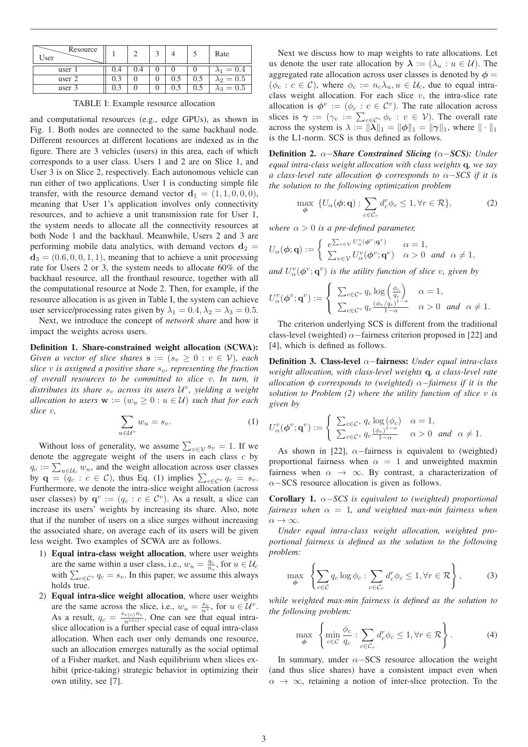| Resource<br>User |     |     |     |     | Rate            |
|------------------|-----|-----|-----|-----|-----------------|
|                  |     |     |     |     |                 |
| user             | 0.4 | 0.4 |     |     | $\lambda_1=0.4$ |
| user 2           | 0.3 |     | 0.5 | U.J | $\lambda_2=0.5$ |
| user 3           |     |     | 0.5 |     | $\lambda_3=0.5$ |

TABLE I: Example resource allocation

and computational resources (e.g., edge GPUs), as shown in Fig. 1. Both nodes are connected to the same backhaul node. Different resources at different locations are indexed as in the figure. There are 3 vehicles (users) in this area, each of which corresponds to a user class. Users 1 and 2 are on Slice 1, and User 3 is on Slice 2, respectively. Each autonomous vehicle can run either of two applications. User 1 is conducting simple file transfer, with the resource demand vector  $\mathbf{d}_1 = (1, 1, 0, 0, 0)$ , meaning that User 1's application involves only connectivity resources, and to achieve a unit transmission rate for User 1, the system needs to allocate all the connectivity resources at both Node 1 and the backhaul. Meanwhile, Users 2 and 3 are performing mobile data analytics, with demand vectors  $\mathbf{d}_2 =$  $\mathbf{d}_3 = (0.6, 0, 0, 1, 1)$ , meaning that to achieve a unit processing<br>rate for Users 2 or 3, the system needs to allocate 60% of the rate for Users 2 or 3, the system needs to allocate 60% of the backhaul resource, all the fronthaul resource, together with all the computational resource at Node 2. Then, for example, if the resource allocation is as given in Table I, the system can achieve user service/processing rates given by  $\lambda_1 = 0.4, \lambda_2 = \lambda_3 = 0.5$ .

Next, we introduce the concept of *network share* and how it impact the weights across users.

Definition 1. Share-constrained weight allocation (SCWA): *Given a vector of slice shares*  $\mathbf{s} := (s_v \geq 0 : v \in V)$ *, each slice v is assigned a positive share*  $s_v$ , *representing the fraction of overall resources to be committed to slice* v*. In turn, it distributes its share*  $s_v$  *across its users*  $\mathcal{U}^v$ *, yielding a weight allocation to users*  $\mathbf{w} := (w_u \geq 0 : u \in \mathcal{U})$  *such that for each slice* <sup>v</sup>*,*

$$
\sum_{u \in \mathcal{U}^v} w_u = s_v. \tag{1}
$$

Without loss of generality, we assume  $\sum_{v \in V} s_v = 1$ . If we note the aggregate weight of the users in each class c by denote the aggregate weight of the users in each class  $c$  by  $q_c := \sum_{u \in \mathcal{U}_c} w_u$ , and the weight allocation across user classes<br>by  $g = (g \cdot c \in C)$  thus Eq. (1) implies  $\sum_{u \in C} q_u = s$ by  $\mathbf{q} = (q_c : c \in \mathcal{C})$ , thus Eq. (1) implies  $\sum_{c \in \mathcal{C}^v} q_c = s_v$ .<br>Furthermore, we denote the intra-slice weight allocation (across Furthermore, we denote the intra-slice weight allocation (across user classes) by  $\mathbf{q}^v := (q_c : c \in \mathcal{C}^v)$ . As a result, a slice can increase its users' weights by increasing its share. Also, note that if the number of users on a slice surges without increasing the associated share, on average each of its users will be given less weight. Two examples of SCWA are as follows.

- 1) Equal intra-class weight allocation, where user weights are the same within a user class, i.e.,  $w_u = \frac{q_c}{n_c}$ , for  $u \in \mathcal{U}_c$ <br>with  $\sum_{u \in \mathcal{U}_c} a_v = s$ . In this paper, we assume this always with  $\sum_{c \in \mathcal{C}^v} q_c = s_v$ . In this paper, we assume this always holds true.
- 2) Equal intra-slice weight allocation, where user weights are the same across the slice, i.e.,  $w_u = \frac{s_v}{n_v}$ , for  $u \in \mathcal{U}^v$ .<br>As a result  $a = \frac{s_v(s)}{n_e}$ . One can see that equal intra-As a result,  $q_c = \frac{s_{v(c)}n_c}{n^{v(c)}}$ . One can see that equal intra-<br>slice allocation is a further special case of equal intra-class slice allocation is a further special case of equal intra-class allocation. When each user only demands one resource, such an allocation emerges naturally as the social optimal of a Fisher market, and Nash equilibrium when slices exhibit (price-taking) strategic behavior in optimizing their own utility, see [7].

Next we discuss how to map weights to rate allocations. Let us denote the user rate allocation by  $\lambda := (\lambda_u : u \in \mathcal{U})$ . The aggregated rate allocation across user classes is denoted by  $\phi =$  $(\phi_c : c \in \mathcal{C})$ , where  $\phi_c := n_c \lambda_u, u \in \mathcal{U}_c$ , due to equal intraclass weight allocation. For each slice  $v$ , the intra-slice rate allocation is  $\phi^v := (\phi_c : c \in \mathcal{C}^v)$ . The rate allocation across slices is  $\gamma := (\gamma_v := \sum_{c \in C^v} \phi_c : v \in V)$ . The overall rate across the system is  $\lambda := ||\tilde{\lambda}||_1 = ||\phi||_1 = ||\gamma||_1$ , where  $|| \cdot ||_1$ is the L1-norm. SCS is thus defined as follows.

Definition 2. <sup>α</sup>−*Share Constrained Slicing (*α−*SCS): Under equal intra-class weight allocation with class weights* **q***, we say a class-level rate allocation*  $\phi$  *corresponds to*  $\alpha$ -*SCS if it is the solution to the following optimization problem*

$$
\max_{\boldsymbol{\phi}} \ \{ U_{\alpha}(\boldsymbol{\phi}; \mathbf{q}) : \sum_{c \in \mathcal{C}_r} d_c^r \phi_c \le 1, \forall r \in \mathcal{R} \},\tag{2}
$$

*where*  $\alpha > 0$  *is a pre-defined parameter,* 

$$
U_{\alpha}(\boldsymbol{\phi};\mathbf{q}) := \begin{cases} e^{\sum_{v \in \mathcal{V}} U_{\alpha}^{v}(\boldsymbol{\phi}^{v};\mathbf{q}^{v})} & \alpha = 1, \\ \sum_{v \in \mathcal{V}} U_{\alpha}^{v}(\boldsymbol{\phi}^{v};\mathbf{q}^{v}) & \alpha > 0 \quad and \quad \alpha \neq 1, \end{cases}
$$

and  $U^v_\alpha(\phi^v; \mathbf{q}^v)$  *is the utility function of slice v, given by* 

$$
U_{\alpha}^{v}(\boldsymbol{\phi}^{v};\mathbf{q}^{v}) := \begin{cases} \sum_{c \in \mathcal{C}^{v}} q_{c} \log \left( \frac{\phi_{c}}{q_{c}} \right) & \alpha = 1, \\ \sum_{c \in \mathcal{C}^{v}} q_{c} \frac{\left( \phi_{c}/q_{c} \right)^{1-\alpha}}{1-\alpha} & \alpha > 0 \quad \text{and} \quad \alpha \neq 1. \end{cases}
$$

The criterion underlying SCS is different from the traditional class-level (weighted)  $\alpha$ −fairness criterion proposed in [22] and [4], which is defined as follows.

Definition 3. Class-level <sup>α</sup>−fairness: *Under equal intra-class weight allocation, with class-level weights* **q***, a class-level rate allocation <sup>φ</sup> corresponds to (weighted)* <sup>α</sup>−*fairness if it is the solution to Problem (2) where the utility function of slice* v *is given by*

$$
U_{\alpha}^{v}(\boldsymbol{\phi}^{v};\mathbf{q}^{v}) := \begin{cases} \sum_{c \in \mathcal{C}^{v}} q_{c} \log(\phi_{c}) & \alpha = 1, \\ \sum_{c \in \mathcal{C}^{v}} q_{c} \frac{(\phi_{c})^{1-\alpha}}{1-\alpha} & \alpha > 0 \quad \text{and} \quad \alpha \neq 1. \end{cases}
$$

As shown in [22],  $\alpha$ -fairness is equivalent to (weighted) proportional fairness when  $\alpha = 1$  and unweighted maxmin fairness when  $\alpha \rightarrow \infty$ . By contrast, a characterization of  $\alpha$ −SCS resource allocation is given as follows.

Corollary 1. <sup>α</sup>−*SCS is equivalent to (weighted) proportional fairness when*  $\alpha = 1$ *, and weighted max-min fairness when*  $\alpha \to \infty$ .

*Under equal intra-class weight allocation, weighted proportional fairness is defined as the solution to the following problem:*

$$
\max_{\phi} \left\{ \sum_{c \in \mathcal{C}} q_c \log \phi_c : \sum_{c \in \mathcal{C}_r} d_c^r \phi_c \le 1, \forall r \in \mathcal{R} \right\},\tag{3}
$$

*while weighted max-min fairness is defined as the solution to the following problem:*

$$
\max_{\phi} \left\{ \min_{c \in \mathcal{C}} \frac{\phi_c}{q_c} : \sum_{c \in \mathcal{C}_r} d_c^r \phi_c \le 1, \forall r \in \mathcal{R} \right\}.
$$
 (4)

In summary, under  $\alpha$ −SCS resource allocation the weight (and thus slice shares) have a consistent impact even when  $\alpha \rightarrow \infty$ , retaining a notion of inter-slice protection. To the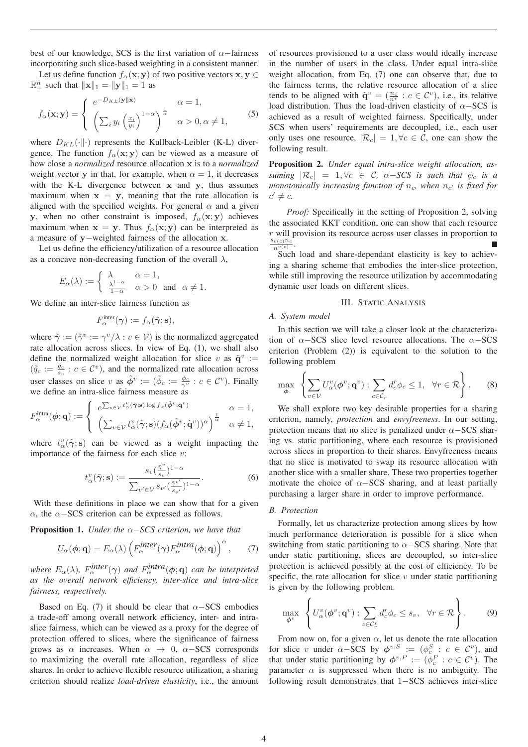best of our knowledge, SCS is the first variation of  $\alpha$ -fairness incorporating such slice-based weighting in a consistent manner.

Let us define function  $f_{\alpha}(\mathbf{x}; \mathbf{y})$  of two positive vectors  $\mathbf{x}, \mathbf{y} \in$  $\mathbb{R}^n_+$  such that  $\|\mathbf{x}\|_1 = \|\mathbf{y}\|_1 = 1$  as

$$
f_{\alpha}(\mathbf{x}; \mathbf{y}) = \begin{cases} e^{-D_{KL}(\mathbf{y} \parallel \mathbf{x})} & \alpha = 1, \\ \left(\sum_{i} y_{i} \left(\frac{x_{i}}{y_{i}}\right)^{1-\alpha}\right)^{\frac{1}{\alpha}} & \alpha > 0, \alpha \neq 1, \end{cases}
$$
(5)

where  $D_{KL}(\cdot||\cdot)$  represents the Kullback-Leibler (K-L) divergence. The function  $f_{\alpha}(\mathbf{x}; \mathbf{y})$  can be viewed as a measure of how close a *normalized* resource allocation **x** is to a *normalized* weight vector **y** in that, for example, when  $\alpha = 1$ , it decreases with the K-L divergence between **x** and **y**, thus assumes maximum when  $x = y$ , meaning that the rate allocation is aligned with the specified weights. For general  $\alpha$  and a given **y**, when no other constraint is imposed,  $f_\alpha(\mathbf{x}; \mathbf{y})$  achieves maximum when  $\mathbf{x} = \mathbf{y}$ . Thus  $f_{\alpha}(\mathbf{x}; \mathbf{y})$  can be interpreted as a measure of **<sup>y</sup>**−weighted fairness of the allocation **<sup>x</sup>**.

Let us define the efficiency/utilization of a resource allocation as a concave non-decreasing function of the overall  $\lambda$ ,

$$
E_{\alpha}(\lambda) := \begin{cases} \lambda & \alpha = 1, \\ \frac{\lambda^{1-\alpha}}{1-\alpha} & \alpha > 0 \text{ and } \alpha \neq 1. \end{cases}
$$

We define an inter-slice fairness function as

$$
F_{\alpha}^{\text{inter}}(\boldsymbol{\gamma}) := f_{\alpha}(\tilde{\boldsymbol{\gamma}}; \mathbf{s}),
$$

where  $\tilde{\gamma}$  := ( $\tilde{\gamma}$ <sup>v</sup> :=  $\gamma$ <sup>v</sup>/ $\lambda$  :  $v \in V$ ) is the normalized aggregated rate allocation across slices. In view of Eq. (1), we shall also define the normalized weight allocation for slice v as  $\tilde{\mathbf{q}}^v$  :=  $(\tilde{q}_c := \frac{q_c}{s_v} : c \in \mathcal{C}^v)$ , and the normalized rate allocation across user classes on slice v as  $\tilde{\phi}^v := (\tilde{\phi}_c := \frac{\phi_c}{\gamma^v} : c \in C^v)$ . Finally we define an intra-slice fairness measure as

$$
F_{\alpha}^{\text{intra}}(\boldsymbol{\phi}; \mathbf{q}) := \begin{cases} e^{\sum_{v \in \mathcal{V}} t_{\alpha}^v(\tilde{\boldsymbol{\gamma}}; \mathbf{s}) \log f_{\alpha}(\tilde{\boldsymbol{\phi}}^v; \tilde{\mathbf{q}}^v)} & \alpha = 1, \\ \left( \sum_{v \in \mathcal{V}} t_{\alpha}^v(\tilde{\boldsymbol{\gamma}}; \mathbf{s}) (f_{\alpha}(\tilde{\boldsymbol{\phi}}^v; \tilde{\mathbf{q}}^v))^{\alpha} \right)^{\frac{1}{\alpha}} & \alpha \neq 1, \end{cases}
$$

where  $t_{\alpha}^{v}(\tilde{\gamma}; s)$  can be viewed as a weight impacting the impactance of the fairness for each slice *x*. importance of the fairness for each slice  $v$ :

$$
t_{\alpha}^v(\tilde{\gamma}; \mathbf{s}) := \frac{s_v(\frac{\tilde{\gamma}^v}{s_v})^{1-\alpha}}{\sum_{v' \in \mathcal{V}} s_{v'}(\frac{\tilde{\gamma}^{v'}}{s_{v'}})^{1-\alpha}}.
$$
 (6)

With these definitions in place we can show that for a given  $\alpha$ , the  $\alpha$ −SCS criterion can be expressed as follows.

Proposition 1. *Under the* <sup>α</sup>−*SCS criterion, we have that*

$$
U_{\alpha}(\boldsymbol{\phi}; \mathbf{q}) = E_{\alpha}(\lambda) \left( F_{\alpha}^{\text{inter}}(\boldsymbol{\gamma}) F_{\alpha}^{\text{intra}}(\boldsymbol{\phi}; \mathbf{q}) \right)^{\alpha}, \qquad (7)
$$

*where*  $E_{\alpha}(\lambda)$ ,  $F_{\alpha}^{inter}(\gamma)$  and  $F_{\alpha}^{intra}(\phi; \mathbf{q})$  *can be interpreted*<br>as the overall network efficiency inter-slice and intra-slice *as the overall network efficiency, inter-slice and intra-slice fairness, respectively.*

Based on Eq. (7) it should be clear that  $\alpha$ −SCS embodies a trade-off among overall network efficiency, inter- and intraslice fairness, which can be viewed as a proxy for the degree of protection offered to slices, where the significance of fairness grows as  $\alpha$  increases. When  $\alpha \rightarrow 0$ ,  $\alpha$ -SCS corresponds to maximizing the overall rate allocation, regardless of slice shares. In order to achieve flexible resource utilization, a sharing criterion should realize *load-driven elasticity*, i.e., the amount of resources provisioned to a user class would ideally increase in the number of users in the class. Under equal intra-slice weight allocation, from Eq. (7) one can observe that, due to the fairness terms, the relative resource allocation of a slice tends to be aligned with  $\tilde{\mathbf{q}}^v = (\frac{n_c}{n_v} : c \in \mathcal{C}^v)$ , i.e., its relative load distribution. Thus the load divisor elasticity of  $\alpha$ –SCS is load distribution. Thus the load-driven elasticity of  $\alpha$ –SCS is achieved as a result of weighted fairness. Specifically, under SCS when users' requirements are decoupled, i.e., each user only uses one resource,  $|\mathcal{R}_c| = 1, \forall c \in \mathcal{C}$ , one can show the following result.

Proposition 2. *Under equal intra-slice weight allocation, assuming*  $|\mathcal{R}_c| = 1, \forall c \in \mathcal{C}, \ \alpha - SCS$  *is such that*  $\phi_c$  *is a monotonically increasing function of*  $n_c$ , when  $n_{c'}$  *is fixed for*  $c' \neq c$ .

*Proof:* Specifically in the setting of Proposition 2, solving the associated KKT condition, one can show that each resource  $r$  will provision its resource across user classes in proportion to  $\frac{s_{v(c)}n_c}{n^{v(c)}}$ .

Such load and share-dependant elasticity is key to achieving a sharing scheme that embodies the inter-slice protection, while still improving the resource utilization by accommodating dynamic user loads on different slices.

## III. STATIC ANALYSIS

# *A. System model*

In this section we will take a closer look at the characterization of  $\alpha$ −SCS slice level resource allocations. The  $\alpha$ −SCS criterion (Problem (2)) is equivalent to the solution to the following problem

$$
\max_{\phi} \left\{ \sum_{v \in \mathcal{V}} U_{\alpha}^v(\phi^v; \mathbf{q}^v) : \sum_{c \in \mathcal{C}_r} d_c^r \phi_c \le 1, \ \forall r \in \mathcal{R} \right\}.
$$
 (8)

We shall explore two key desirable properties for a sharing criterion, namely, *protection* and *envyfreeness*. In our setting, protection means that no slice is penalized under  $\alpha$ −SCS sharing vs. static partitioning, where each resource is provisioned across slices in proportion to their shares. Envyfreeness means that no slice is motivated to swap its resource allocation with another slice with a smaller share. These two properties together motivate the choice of  $\alpha$ -SCS sharing, and at least partially purchasing a larger share in order to improve performance.

# *B. Protection*

Formally, let us characterize protection among slices by how much performance deterioration is possible for a slice when switching from static partitioning to  $\alpha$ –SCS sharing. Note that under static partitioning, slices are decoupled, so inter-slice protection is achieved possibly at the cost of efficiency. To be specific, the rate allocation for slice  $v$  under static partitioning is given by the following problem.

$$
\max_{\boldsymbol{\phi}^v} \left\{ U^v_{\alpha}(\boldsymbol{\phi}^v; \mathbf{q}^v) : \sum_{c \in \mathcal{C}_r^v} d_c^r \phi_c \le s_v, \ \forall r \in \mathcal{R} \right\}.
$$
 (9)

From now on, for a given  $\alpha$ , let us denote the rate allocation for slice v under  $\alpha$ -SCS by  $\phi^{v,S} := (\phi^S_c : c \in C^v)$ , and that under static partitioning by  $\phi^{v,S} := (\phi^S_c : c \in C^v)$ . The that under static partitioning by  $\phi^{v,P} := (\phi_c^P : c \in C^v)$ . The parameter  $\alpha$  is suppressed when there is no ambiguity. The parameter  $\alpha$  is suppressed when there is no ambiguity. The following result demonstrates that 1−SCS achieves inter-slice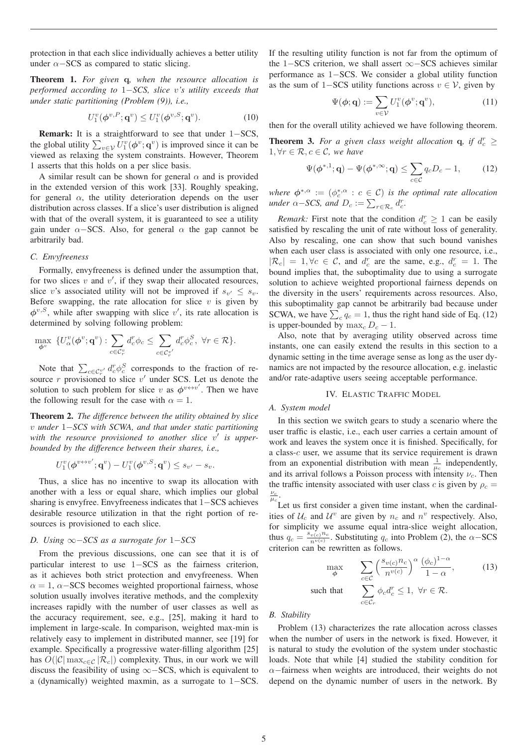protection in that each slice individually achieves a better utility under  $\alpha$ −SCS as compared to static slicing.

Theorem 1. *For given* **q***, when the resource allocation is performed according to* 1−*SCS, slice* <sup>v</sup>*'s utility exceeds that under static partitioning (Problem (9)), i.e.,*

$$
U_1^v(\boldsymbol{\phi}^{v,P};\mathbf{q}^v) \le U_1^v(\boldsymbol{\phi}^{v,S};\mathbf{q}^v). \tag{10}
$$

Remark: It is a straightforward to see that under 1−SCS, the global utility  $\sum_{v \in V} U_1^v(\phi^v; \mathbf{q}^v)$  is improved since it can be viewed as relaxing the system constraints. However, Theorem viewed as relaxing the system constraints. However, Theorem 1 asserts that this holds on a per slice basis.

A similar result can be shown for general  $\alpha$  and is provided in the extended version of this work [33]. Roughly speaking, for general  $\alpha$ , the utility deterioration depends on the user distribution across classes. If a slice's user distribution is aligned with that of the overall system, it is guaranteed to see a utility gain under  $\alpha$ −SCS. Also, for general  $\alpha$  the gap cannot be arbitrarily bad.

# *C. Envyfreeness*

Formally, envyfreeness is defined under the assumption that, for two slices  $v$  and  $v'$ , if they swap their allocated resources, slice v's associated utility will not be improved if  $s_{v'} \leq s_v$ . Before swapping, the rate allocation for slice  $v$  is given by  $\phi^{v,S}$ , while after swapping with slice v', its rate allocation is determined by solving following problem:

$$
\max_{\boldsymbol{\phi}^v} \{ U^v_{\alpha}(\boldsymbol{\phi}^v; \mathbf{q}^v) : \sum_{c \in \mathcal{C}_r^v} d^r_c \phi_c \le \sum_{c \in \mathcal{C}_r^{v'}} d^r_c \phi_c^S, \ \forall r \in \mathcal{R} \}.
$$

Note that  $\sum_{c \in \mathcal{C}_r^{v'}} d_c^r \phi_c^S$  corresponds to the fraction of resource r provisioned to slice v' under SCS. Let us denote the solution to such problem for slice v as  $\phi^{v \leftrightarrow v'}$ . Then we have the following result for the case with  $\alpha = 1$ .

Theorem 2. *The difference between the utility obtained by slice* <sup>v</sup> *under* 1−*SCS with SCWA, and that under static partitioning* with the resource provisioned to another slice v' is upper*bounded by the difference between their shares, i.e.,*

$$
U_1^v(\boldsymbol{\phi}^{v\leftrightarrow v'}; \mathbf{q}^v) - U_1^v(\boldsymbol{\phi}^{v,S}; \mathbf{q}^v) \leq s_{v'} - s_v.
$$

Thus, a slice has no incentive to swap its allocation with another with a less or equal share, which implies our global sharing is envyfree. Envyfreeness indicates that 1−SCS achieves desirable resource utilization in that the right portion of resources is provisioned to each slice.

# *D. Using* ∞−*SCS as a surrogate for* 1−*SCS*

From the previous discussions, one can see that it is of particular interest to use 1−SCS as the fairness criterion, as it achieves both strict protection and envyfreeness. When  $\alpha = 1$ ,  $\alpha$ -SCS becomes weighted proportional fairness, whose solution usually involves iterative methods, and the complexity increases rapidly with the number of user classes as well as the accuracy requirement, see, e.g., [25], making it hard to implement in large-scale. In comparison, weighted max-min is relatively easy to implement in distributed manner, see [19] for example. Specifically a progressive water-filling algorithm [25] has  $O(|\mathcal{C}| \max_{c \in \mathcal{C}} |\mathcal{R}_c|)$  complexity. Thus, in our work we will discuss the feasibility of using ∞−SCS, which is equivalent to a (dynamically) weighted maxmin, as a surrogate to 1−SCS.

If the resulting utility function is not far from the optimum of the 1−SCS criterion, we shall assert ∞−SCS achieves similar performance as 1−SCS. We consider a global utility function as the sum of 1–SCS utility functions across  $v \in V$ , given by

$$
\Psi(\boldsymbol{\phi}; \mathbf{q}) := \sum_{v \in \mathcal{V}} U_1^v(\boldsymbol{\phi}^v; \mathbf{q}^v), \tag{11}
$$

then for the overall utility achieved we have following theorem.

**Theorem 3.** For a given class weight allocation **q**, if  $d_c^r \ge$  $1, \forall r \in \mathcal{R}, c \in \mathcal{C}, we have$ 

$$
\Psi(\boldsymbol{\phi}^{*,1};\mathbf{q}) - \Psi(\boldsymbol{\phi}^{*,\infty};\mathbf{q}) \le \sum_{c \in \mathcal{C}} q_c D_c - 1, \qquad (12)
$$

*where*  $\phi^{*,\alpha} := (\phi_c^{*,\alpha} : c \in \mathcal{C})$  *is the optimal rate allocation under*  $\alpha$  – SCS and  $D \cdot \alpha$  –  $\sum d^r$ *under*  $\alpha$ *-SCS, and*  $D_c := \sum_{r \in \mathcal{R}_c} d_c^r$ .

*Remark:* First note that the condition  $d_c^r \geq 1$  can be easily is field by rescaling the unit of rate without loss of generality satisfied by rescaling the unit of rate without loss of generality. Also by rescaling, one can show that such bound vanishes when each user class is associated with only one resource, i.e.,  $|R_c| = 1, \forall c \in \mathcal{C}$ , and  $d_c^r$  are the same, e.g.,  $d_c^r = 1$ . The bound implies that the subontimality due to using a surrogate bound implies that, the suboptimality due to using a surrogate solution to achieve weighted proportional fairness depends on the diversity in the users' requirements across resources. Also, this suboptimality gap cannot be arbitrarily bad because under SCWA, we have  $\sum_{c} q_c = 1$ , thus the right hand side of Eq. (12) is upper-bounded by  $\max_c D_c - 1$ .

Also, note that by averaging utility observed across time instants, one can easily extend the results in this section to a dynamic setting in the time average sense as long as the user dynamics are not impacted by the resource allocation, e.g. inelastic and/or rate-adaptive users seeing acceptable performance.

# IV. ELASTIC TRAFFIC MODEL

#### *A. System model*

In this section we switch gears to study a scenario where the user traffic is elastic, i.e., each user carries a certain amount of work and leaves the system once it is finished. Specifically, for a class-c user, we assume that its service requirement is drawn from an exponential distribution with mean  $\frac{1}{\mu_c}$  independently, and its arrival follows a Poisson process with intensity  $\nu_c$ . Then the traffic intensity associated with user class c is given by  $\rho_c = \frac{\nu_c}{\mu_c}$ .

Let us first consider a given time instant, when the cardinalities of  $U_c$  and  $U^v$  are given by  $n_c$  and  $n^v$  respectively. Also, for simplicity we assume equal intra-slice weight allocation, thus  $q_c = \frac{s_{v(c)} n_c}{n_v(c)}$ . Substituting  $q_c$  into Problem (2), the  $\alpha$ -SCS<br>criterion can be rewritten as follows criterion can be rewritten as follows.

$$
\max_{\phi} \sum_{c \in \mathcal{C}} \left( \frac{s_{v(c)} n_c}{n^{v(c)}} \right)^{\alpha} \frac{(\phi_c)^{1-\alpha}}{1-\alpha},
$$
\nsuch that

\n
$$
\sum_{c \in \mathcal{C}_r} \phi_c d_c^r \leq 1, \ \forall r \in \mathcal{R}.
$$
\n(13)

# *B. Stability*

Problem (13) characterizes the rate allocation across classes when the number of users in the network is fixed. However, it is natural to study the evolution of the system under stochastic loads. Note that while [4] studied the stability condition for  $\alpha$ −fairness when weights are introduced, their weights do not depend on the dynamic number of users in the network. By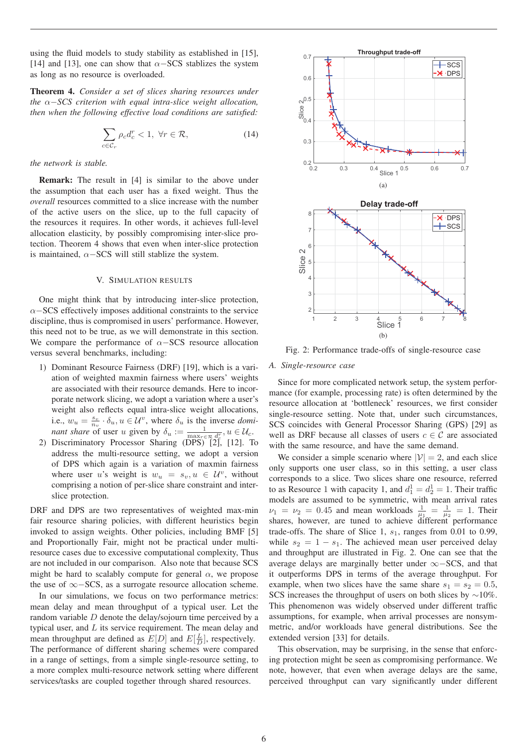using the fluid models to study stability as established in [15], [14] and [13], one can show that  $\alpha$ –SCS stablizes the system as long as no resource is overloaded.

Theorem 4. *Consider a set of slices sharing resources under the* <sup>α</sup>−*SCS criterion with equal intra-slice weight allocation, then when the following effective load conditions are satisfied:*

$$
\sum_{c \in \mathcal{C}_r} \rho_c d_c^r < 1, \ \forall r \in \mathcal{R},\tag{14}
$$

*the network is stable.*

Remark: The result in [4] is similar to the above under the assumption that each user has a fixed weight. Thus the *overall* resources committed to a slice increase with the number of the active users on the slice, up to the full capacity of the resources it requires. In other words, it achieves full-level allocation elasticity, by possibly compromising inter-slice protection. Theorem 4 shows that even when inter-slice protection is maintained,  $\alpha$ −SCS will still stablize the system.

# V. SIMULATION RESULTS

One might think that by introducing inter-slice protection,  $\alpha$ −SCS effectively imposes additional constraints to the service discipline, thus is compromised in users' performance. However, this need not to be true, as we will demonstrate in this section. We compare the performance of  $\alpha$ −SCS resource allocation versus several benchmarks, including:

- 1) Dominant Resource Fairness (DRF) [19], which is a variation of weighted maxmin fairness where users' weights are associated with their resource demands. Here to incorporate network slicing, we adopt a variation where a user's weight also reflects equal intra-slice weight allocations, i.e.,  $w_u = \frac{s_v}{n_v} \cdot \delta_u$ ,  $u \in \mathcal{U}^v$ , where  $\delta_u$  is the inverse *dominant share* of user *u* given by  $\delta_u = \frac{1}{\sqrt{2}} \mathcal{U}(\delta_u)$ *nant share* of user u given by  $\delta_u := \frac{1}{\max_{r \in \mathcal{R}} d_r^r}$ ,  $u \in \mathcal{U}_c$ .<br>Discriminatory Processor Sharing (DPS) [2] [12] T
- 2) Discriminatory Processor Sharing (DPS) [2], [12]. To address the multi-resource setting, we adopt a version of DPS which again is a variation of maxmin fairness where user u's weight is  $w_u = s_v, u \in \mathcal{U}^v$ , without comprising a notion of per-slice share constraint and interslice protection.

DRF and DPS are two representatives of weighted max-min fair resource sharing policies, with different heuristics begin invoked to assign weights. Other policies, including BMF [5] and Proportionally Fair, might not be practical under multiresource cases due to excessive computational complexity, Thus are not included in our comparison. Also note that because SCS might be hard to scalably compute for general  $\alpha$ , we propose the use of ∞−SCS, as a surrogate resource allocation scheme.

In our simulations, we focus on two performance metrics: mean delay and mean throughput of a typical user. Let the random variable D denote the delay/sojourn time perceived by a typical user, and  $L$  its service requirement. The mean delay and mean throughput are defined as  $E[D]$  and  $E[\frac{L}{D}]$ , respectively.<br>The performance of different sharing schemes were compared The performance of different sharing schemes were compared in a range of settings, from a simple single-resource setting, to a more complex multi-resource network setting where different services/tasks are coupled together through shared resources.



Fig. 2: Performance trade-offs of single-resource case

# *A. Single-resource case*

Since for more complicated network setup, the system performance (for example, processing rate) is often determined by the resource allocation at 'bottleneck' resources, we first consider single-resource setting. Note that, under such circumstances, SCS coincides with General Processor Sharing (GPS) [29] as well as DRF because all classes of users  $c \in \mathcal{C}$  are associated with the same resource, and have the same demand.

We consider a simple scenario where  $|\mathcal{V}| = 2$ , and each slice only supports one user class, so in this setting, a user class corresponds to a slice. Two slices share one resource, referred to as Resource 1 with capacity 1, and  $d_1^1 = d_2^1 = 1$ . Their traffic<br>models are assumed to be symmetric with mean arrival rates models are assumed to be symmetric, with mean arrival rates  $\nu_1 = \nu_2 = 0.45$  and mean workloads  $\frac{1}{\mu_1} = \frac{1}{\mu_2} = 1$ . Their shares, however, are tuned to achieve different performance trade-offs. The share of Slice 1,  $s_1$ , ranges from 0.01 to 0.99, while  $s_2 = 1 - s_1$ . The achieved mean user perceived delay and throughput are illustrated in Fig. 2. One can see that the average delays are marginally better under ∞−SCS, and that it outperforms DPS in terms of the average throughput. For example, when two slices have the same share  $s_1 = s_2 = 0.5$ , SCS increases the throughput of users on both slices by  $\sim$ 10%. This phenomenon was widely observed under different traffic assumptions, for example, when arrival processes are nonsymmetric, and/or workloads have general distributions. See the extended version [33] for details.

This observation, may be surprising, in the sense that enforcing protection might be seen as compromising performance. We note, however, that even when average delays are the same, perceived throughput can vary significantly under different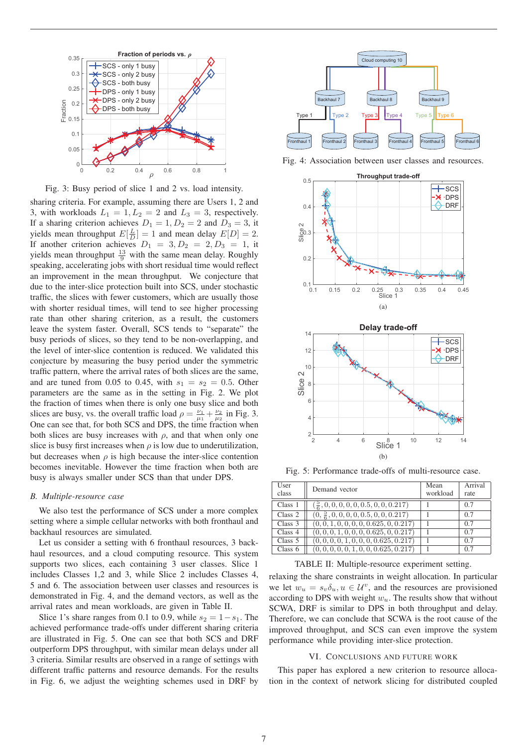

Fig. 3: Busy period of slice 1 and 2 vs. load intensity.

sharing criteria. For example, assuming there are Users 1, 2 and 3, with workloads  $L_1 = 1, L_2 = 2$  and  $L_3 = 3$ , respectively. If a sharing criterion achieves  $D_1 = 1, D_2 = 2$  and  $D_3 = 3$ , it yields mean throughput  $E[\frac{L}{D}] = 1$  and mean delay  $E[D] = 2$ .<br>If another criterion achieves  $D_1 = 3$ ,  $D_2 = 2$ ,  $D_3 = 1$ , it If another criterion achieves  $D_1 = 3, D_2 = 2, D_3 = 1$ , it yields mean throughput  $\frac{13}{9}$  with the same mean delay. Roughly<br>speaking accelerating jobs with short residual time would reflect speaking, accelerating jobs with short residual time would reflect an improvement in the mean throughput. We conjecture that due to the inter-slice protection built into SCS, under stochastic traffic, the slices with fewer customers, which are usually those with shorter residual times, will tend to see higher processing rate than other sharing criterion, as a result, the customers leave the system faster. Overall, SCS tends to "separate" the busy periods of slices, so they tend to be non-overlapping, and the level of inter-slice contention is reduced. We validated this conjecture by measuring the busy period under the symmetric traffic pattern, where the arrival rates of both slices are the same, and are tuned from 0.05 to 0.45, with  $s_1 = s_2 = 0.5$ . Other parameters are the same as in the setting in Fig. 2. We plot the fraction of times when there is only one busy slice and both slices are busy, vs. the overall traffic load  $\rho = \frac{\nu_1}{\mu_1} + \frac{\nu_2}{\mu_2}$  in Fig. 3.<br>One can see that, for both SCS and DPS, the time fraction when One can see that, for both SCS and DPS, the time fraction when both slices are busy increases with  $\rho$ , and that when only one slice is busy first increases when  $\rho$  is low due to underutilization. but decreases when  $\rho$  is high because the inter-slice contention becomes inevitable. However the time fraction when both are busy is always smaller under SCS than that under DPS.

#### *B. Multiple-resource case*

We also test the performance of SCS under a more complex setting where a simple cellular networks with both fronthaul and backhaul resources are simulated.

Let us consider a setting with 6 fronthaul resources, 3 backhaul resources, and a cloud computing resource. This system supports two slices, each containing 3 user classes. Slice 1 includes Classes 1,2 and 3, while Slice 2 includes Classes 4, 5 and 6. The association between user classes and resources is demonstrated in Fig. 4, and the demand vectors, as well as the arrival rates and mean workloads, are given in Table II.

Slice 1's share ranges from 0.1 to 0.9, while  $s_2 = 1 - s_1$ . The achieved performance trade-offs under different sharing criteria are illustrated in Fig. 5. One can see that both SCS and DRF outperform DPS throughput, with similar mean delays under all 3 criteria. Similar results are observed in a range of settings with different traffic patterns and resource demands. For the results in Fig. 6, we adjust the weighting schemes used in DRF by



Fig. 4: Association between user classes and resources.





Fig. 5: Performance trade-offs of multi-resource case.

| User<br>class | Demand vector                                               | Mean<br>workload | Arrival<br>rate |
|---------------|-------------------------------------------------------------|------------------|-----------------|
| Class 1       | $\left(\frac{5}{6}, 0, 0, 0, 0, 0, 0.5, 0, 0, 0.217\right)$ |                  | 0.7             |
| Class 2       | $(0, \frac{5}{6}, 0, 0, 0, 0, 0.5, 0, 0, 0.217)$            |                  | 0.7             |
| Class 3       | $(0, 0, 1, 0, 0, 0, 0, 0.625, 0, 0.217)$                    |                  | 0.7             |
| Class 4       | $(0, 0, 0, 1, 0, 0, 0, 0.625, 0, 0.217)$                    |                  | 0.7             |
| Class $5$     | $(0, 0, 0, 0, 1, 0, 0, 0, 0.625, 0.217)$                    |                  | 0.7             |
| Class $6$     | $(0, 0, 0, 0, 0, 1, 0, 0, 0.625, 0.217)$                    |                  | 0.7             |

TABLE II: Multiple-resource experiment setting.

relaxing the share constraints in weight allocation. In particular we let  $w_u = s_v \delta_u, u \in \mathcal{U}^v$ , and the resources are provisioned according to DPS with weight  $w_u$ . The results show that without SCWA, DRF is similar to DPS in both throughput and delay. Therefore, we can conclude that SCWA is the root cause of the improved throughput, and SCS can even improve the system performance while providing inter-slice protection.

#### VI. CONCLUSIONS AND FUTURE WORK

This paper has explored a new criterion to resource allocation in the context of network slicing for distributed coupled